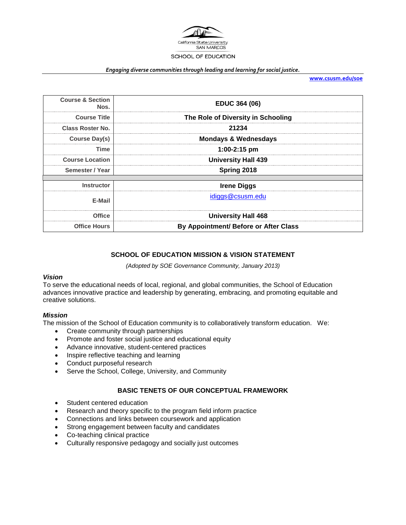

#### *Engaging diverse communities through leading and learning for social justice.*

**[www.csusm.edu/soe](http://www.csusm.edu/soe)**

| <b>Course &amp; Section</b><br>Nos. | <b>EDUC 364 (06)</b>                  |  |
|-------------------------------------|---------------------------------------|--|
| <b>Course Title</b>                 | The Role of Diversity in Schooling    |  |
| <b>Class Roster No.</b>             | 21234                                 |  |
| Course Day(s)                       | <b>Mondays &amp; Wednesdays</b>       |  |
| Time                                | $1:00-2:15$ pm                        |  |
| <b>Course Location</b>              | <b>University Hall 439</b>            |  |
| Semester / Year                     | Spring 2018                           |  |
| <b>Instructor</b>                   | <b>Irene Diggs</b>                    |  |
|                                     |                                       |  |
| E-Mail                              | idiggs@csusm.edu                      |  |
| <b>Office</b>                       | <b>University Hall 468</b>            |  |
| <b>Office Hours</b>                 | By Appointment/ Before or After Class |  |

#### **SCHOOL OF EDUCATION MISSION & VISION STATEMENT**

*(Adopted by SOE Governance Community, January 2013)*

#### *Vision*

To serve the educational needs of local, regional, and global communities, the School of Education advances innovative practice and leadership by generating, embracing, and promoting equitable and creative solutions.

#### *Mission*

The mission of the School of Education community is to collaboratively transform education. We:

- Create community through partnerships
- Promote and foster social justice and educational equity
- Advance innovative, student-centered practices
- Inspire reflective teaching and learning
- Conduct purposeful research
- Serve the School, College, University, and Community

#### **BASIC TENETS OF OUR CONCEPTUAL FRAMEWORK**

- Student centered education
- Research and theory specific to the program field inform practice
- Connections and links between coursework and application
- Strong engagement between faculty and candidates
- Co-teaching clinical practice
- Culturally responsive pedagogy and socially just outcomes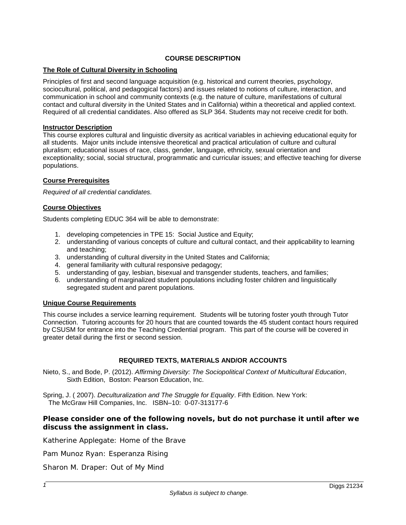## **COURSE DESCRIPTION**

## **The Role of Cultural Diversity in Schooling**

Principles of first and second language acquisition (e.g. historical and current theories, psychology, sociocultural, political, and pedagogical factors) and issues related to notions of culture, interaction, and communication in school and community contexts (e.g. the nature of culture, manifestations of cultural contact and cultural diversity in the United States and in California) within a theoretical and applied context. Required of all credential candidates. Also offered as SLP 364. Students may not receive credit for both.

#### **Instructor Description**

This course explores cultural and linguistic diversity as acritical variables in achieving educational equity for all students. Major units include intensive theoretical and practical articulation of culture and cultural pluralism; educational issues of race, class, gender, language, ethnicity, sexual orientation and exceptionality; social, social structural, programmatic and curricular issues; and effective teaching for diverse populations.

## **Course Prerequisites**

*Required of all credential candidates.*

## **Course Objectives**

Students completing EDUC 364 will be able to demonstrate:

- 1. developing competencies in TPE 15: Social Justice and Equity;
- 2. understanding of various concepts of culture and cultural contact, and their applicability to learning and teaching;
- 3. understanding of cultural diversity in the United States and California;
- 4. general familiarity with cultural responsive pedagogy;
- 5. understanding of gay, lesbian, bisexual and transgender students, teachers, and families;
- 6. understanding of marginalized student populations including foster children and linguistically segregated student and parent populations.

## **Unique Course Requirements**

This course includes a service learning requirement. Students will be tutoring foster youth through Tutor Connection. Tutoring accounts for 20 hours that are counted towards the 45 student contact hours required by CSUSM for entrance into the Teaching Credential program. This part of the course will be covered in greater detail during the first or second session.

## **REQUIRED TEXTS, MATERIALS AND/OR ACCOUNTS**

Nieto, S., and Bode, P. (2012). *Affirming Diversity: The Sociopolitical Context of Multicultural Education*, Sixth Edition, Boston: Pearson Education, Inc.

Spring, J. ( 2007). *Deculturalization and The Struggle for Equality*. Fifth Edition. New York: The McGraw Hill Companies, Inc. ISBN–10: 0-07-313177-6

## **Please consider one of the following novels, but do not purchase it until after we discuss the assignment in class.**

Katherine Applegate: *Home of the Brave*

Pam Munoz Ryan: *Esperanza Rising*

Sharon M. Draper: *Out of My Mind*

*1*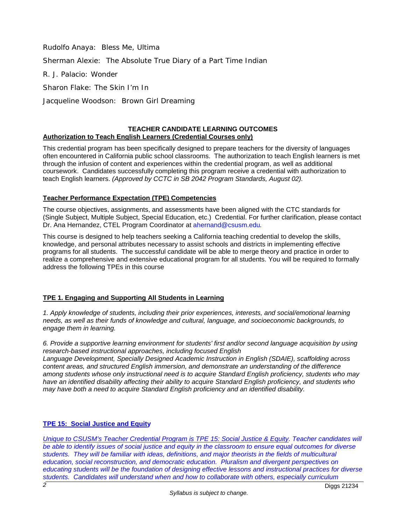Rudolfo Anaya: *Bless Me, Ultima* Sherman Alexie: *The Absolute True Diary of a Part Time Indian* R. J. Palacio: *Wonder* Sharon Flake: *The Skin I'm In*

Jacqueline Woodson*: Brown Girl Dreaming*

#### **TEACHER CANDIDATE LEARNING OUTCOMES Authorization to Teach English Learners (Credential Courses only)**

This credential program has been specifically designed to prepare teachers for the diversity of languages often encountered in California public school classrooms. The authorization to teach English learners is met through the infusion of content and experiences within the credential program, as well as additional coursework. Candidates successfully completing this program receive a credential with authorization to teach English learners. *(Approved by CCTC in SB 2042 Program Standards, August 02).*

## **Teacher Performance Expectation (TPE) Competencies**

The course objectives, assignments, and assessments have been aligned with the CTC standards for (Single Subject, Multiple Subject, Special Education, etc.) Credential. For further clarification, please contact Dr. Ana Hernandez, CTEL Program Coordinator at [ahernand@csusm.edu](mailto:ahernand@csusm.edu)*.*

This course is designed to help teachers seeking a California teaching credential to develop the skills, knowledge, and personal attributes necessary to assist schools and districts in implementing effective programs for all students. The successful candidate will be able to merge theory and practice in order to realize a comprehensive and extensive educational program for all students. You will be required to formally address the following TPEs in this course

## **TPE 1. Engaging and Supporting All Students in Learning**

*1. Apply knowledge of students, including their prior experiences, interests, and social/emotional learning needs, as well as their funds of knowledge and cultural, language, and socioeconomic backgrounds, to engage them in learning.*

*6. Provide a supportive learning environment for students' first and/or second language acquisition by using research-based instructional approaches, including focused English*

*Language Development, Specially Designed Academic Instruction in English (SDAIE), scaffolding across content areas, and structured English immersion, and demonstrate an understanding of the difference among students whose only instructional need is to acquire Standard English proficiency, students who may have an identified disability affecting their ability to acquire Standard English proficiency, and students who may have both a need to acquire Standard English proficiency and an identified disability.*

## **TPE 15: Social Justice and Equity**

*Unique to CSUSM's Teacher Credential Program is TPE 15: Social Justice & Equity. Teacher candidates will be able to identify issues of social justice and equity in the classroom to ensure equal outcomes for diverse students. They will be familiar with ideas, definitions, and major theorists in the fields of multicultural education, social reconstruction, and democratic education. Pluralism and divergent perspectives on*  educating students will be the foundation of designing effective lessons and instructional practices for diverse *students. Candidates will understand when and how to collaborate with others, especially curriculum*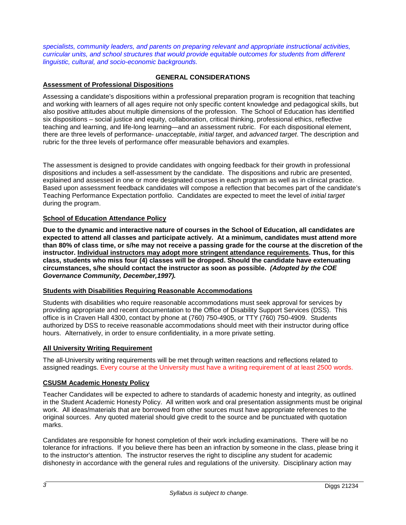*specialists, community leaders, and parents on preparing relevant and appropriate instructional activities, curricular units, and school structures that would provide equitable outcomes for students from different linguistic, cultural, and socio-economic backgrounds.*

# **GENERAL CONSIDERATIONS**

## **Assessment of Professional Dispositions**

Assessing a candidate's dispositions within a professional preparation program is recognition that teaching and working with learners of all ages require not only specific content knowledge and pedagogical skills, but also positive attitudes about multiple dimensions of the profession. The School of Education has identified six dispositions – social justice and equity, collaboration, critical thinking, professional ethics, reflective teaching and learning, and life-long learning—and an assessment rubric. For each dispositional element, there are three levels of performance- *unacceptable*, *initial target*, and *advanced target*. The description and rubric for the three levels of performance offer measurable behaviors and examples.

The assessment is designed to provide candidates with ongoing feedback for their growth in professional dispositions and includes a self-assessment by the candidate. The dispositions and rubric are presented, explained and assessed in one or more designated courses in each program as well as in clinical practice. Based upon assessment feedback candidates will compose a reflection that becomes part of the candidate's Teaching Performance Expectation portfolio. Candidates are expected to meet the level of *initial target* during the program.

## **School of Education Attendance Policy**

**Due to the dynamic and interactive nature of courses in the School of Education, all candidates are expected to attend all classes and participate actively. At a minimum, candidates must attend more than 80% of class time, or s/he may not receive a passing grade for the course at the discretion of the instructor. Individual instructors may adopt more stringent attendance requirements. Thus, for this class, students who miss four (4) classes will be dropped. Should the candidate have extenuating circumstances, s/he should contact the instructor as soon as possible.** *(Adopted by the COE Governance Community, December,1997).*

## **Students with Disabilities Requiring Reasonable Accommodations**

Students with disabilities who require reasonable accommodations must seek approval for services by providing appropriate and recent documentation to the Office of Disability Support Services (DSS). This office is in Craven Hall 4300, contact by phone at (760) 750-4905, or TTY (760) 750-4909. Students authorized by DSS to receive reasonable accommodations should meet with their instructor during office hours. Alternatively, in order to ensure confidentiality, in a more private setting.

## **All University Writing Requirement**

The all-University writing requirements will be met through written reactions and reflections related to assigned readings. Every course at the University must have a writing requirement of at least 2500 words.

## **CSUSM Academic Honesty Policy**

Teacher Candidates will be expected to adhere to standards of academic honesty and integrity, as outlined in the Student Academic Honesty Policy. All written work and oral presentation assignments must be original work. All ideas/materials that are borrowed from other sources must have appropriate references to the original sources. Any quoted material should give credit to the source and be punctuated with quotation marks.

Candidates are responsible for honest completion of their work including examinations. There will be no tolerance for infractions. If you believe there has been an infraction by someone in the class, please bring it to the instructor's attention. The instructor reserves the right to discipline any student for academic dishonesty in accordance with the general rules and regulations of the university. Disciplinary action may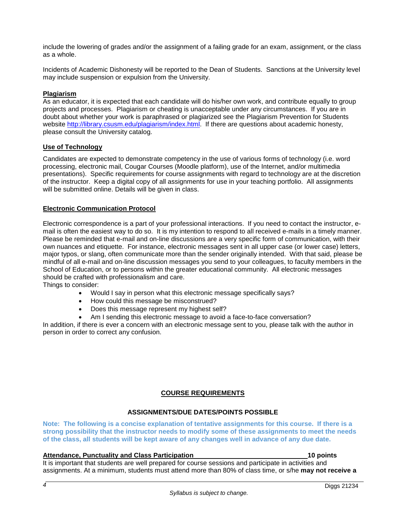include the lowering of grades and/or the assignment of a failing grade for an exam, assignment, or the class as a whole.

Incidents of Academic Dishonesty will be reported to the Dean of Students. Sanctions at the University level may include suspension or expulsion from the University.

## **Plagiarism**

As an educator, it is expected that each candidate will do his/her own work, and contribute equally to group projects and processes. Plagiarism or cheating is unacceptable under any circumstances. If you are in doubt about whether your work is paraphrased or plagiarized see the Plagiarism Prevention for Students website [http://library.csusm.edu/plagiarism/index.html.](http://library.csusm.edu/plagiarism/index.html) If there are questions about academic honesty, please consult the University catalog.

#### **Use of Technology**

Candidates are expected to demonstrate competency in the use of various forms of technology (i.e. word processing, electronic mail, Cougar Courses (Moodle platform), use of the Internet, and/or multimedia presentations). Specific requirements for course assignments with regard to technology are at the discretion of the instructor. Keep a digital copy of all assignments for use in your teaching portfolio. All assignments will be submitted online. Details will be given in class.

#### **Electronic Communication Protocol**

Electronic correspondence is a part of your professional interactions. If you need to contact the instructor, email is often the easiest way to do so. It is my intention to respond to all received e-mails in a timely manner. Please be reminded that e-mail and on-line discussions are a very specific form of communication, with their own nuances and etiquette. For instance, electronic messages sent in all upper case (or lower case) letters, major typos, or slang, often communicate more than the sender originally intended. With that said, please be mindful of all e-mail and on-line discussion messages you send to your colleagues, to faculty members in the School of Education, or to persons within the greater educational community. All electronic messages should be crafted with professionalism and care. Things to consider:

- Would I say in person what this electronic message specifically says?
- How could this message be misconstrued?
- Does this message represent my highest self?
- Am I sending this electronic message to avoid a face-to-face conversation?

In addition, if there is ever a concern with an electronic message sent to you, please talk with the author in person in order to correct any confusion.

## **COURSE REQUIREMENTS**

#### **ASSIGNMENTS/DUE DATES/POINTS POSSIBLE**

**Note: The following is a concise explanation of tentative assignments for this course. If there is a strong possibility that the instructor needs to modify some of these assignments to meet the needs of the class, all students will be kept aware of any changes well in advance of any due date.**

#### **Attendance, Punctuality and Class Participation 10 points**

It is important that students are well prepared for course sessions and participate in activities and assignments. At a minimum, students must attend more than 80% of class time, or s/he **may not receive a**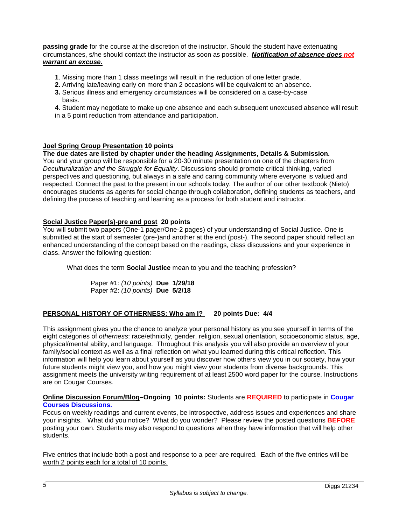**passing grade** for the course at the discretion of the instructor. Should the student have extenuating circumstances, s/he should contact the instructor as soon as possible. *Notification of absence does not warrant an excuse.*

- **1**. Missing more than 1 class meetings will result in the reduction of one letter grade.
- **2.** Arriving late/leaving early on more than 2 occasions will be equivalent to an absence.
- **3.** Serious illness and emergency circumstances will be considered on a case-by-case basis.

**4**. Student may negotiate to make up one absence and each subsequent unexcused absence will result in a 5 point reduction from attendance and participation.

## **Joel Spring Group Presentation 10 points**

**The due dates are listed by chapter under the heading Assignments, Details & Submission.**  You and your group will be responsible for a 20-30 minute presentation on one of the chapters from *Deculturalization and the Struggle for Equality*. Discussions should promote critical thinking, varied perspectives and questioning, but always in a safe and caring community where everyone is valued and respected. Connect the past to the present in our schools today. The author of our other textbook (Nieto) encourages students as agents for social change through collaboration, defining students as teachers, and defining the process of teaching and learning as a process for both student and instructor.

## **Social Justice Paper(s)-pre and post 20 points**

You will submit two papers (One-1 pager/One-2 pages) of your understanding of Social Justice. One is submitted at the start of semester (pre-)and another at the end (post-). The second paper should reflect an enhanced understanding of the concept based on the readings, class discussions and your experience in class. Answer the following question:

What does the term **Social Justice** mean to you and the teaching profession?

Paper #1: *(10 points)* **Due 1/29/18** Paper #2: *(10 points)* **Due 5/2/18**

# **PERSONAL HISTORY OF OTHERNESS: Who am I? 20 points Due: 4/4**

This assignment gives you the chance to analyze your personal history as you see yourself in terms of the eight categories of *otherness*: race/ethnicity, gender, religion, sexual orientation, socioeconomic status, age, physical/mental ability, and language. Throughout this analysis you will also provide an overview of your family/social context as well as a final reflection on what you learned during this critical reflection. This information will help you learn about yourself as you discover how others view you in our society, how your future students might view you, and how you might view your students from diverse backgrounds. This assignment meets the university writing requirement of at least 2500 word paper for the course. Instructions are on Cougar Courses.

#### **Online Discussion Forum/Blog–Ongoing 10 points:** Students are **REQUIRED** to participate in **Cougar Courses Discussions.**

Focus on weekly readings and current events, be introspective, address issues and experiences and share your insights. What did you notice? What do you wonder? Please review the posted questions **BEFORE** posting your own. Students may also respond to questions when they have information that will help other students.

Five entries that include both a post and response to a peer are required. Each of the five entries will be worth 2 points each for a total of 10 points.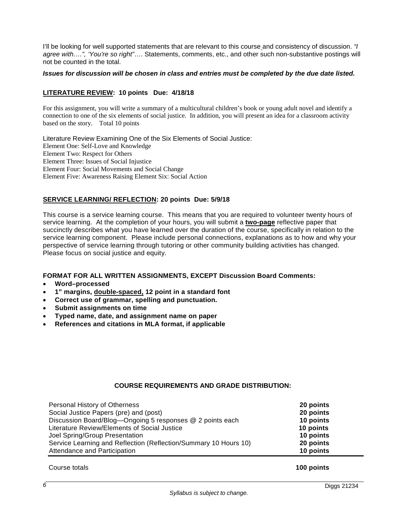I'll be looking for well supported statements that are relevant to this course and consistency of discussion. *"I agree with….", 'You're so right"*…. Statements, comments, etc., and other such non-substantive postings will not be counted in the total.

#### *Issues for discussion will be chosen in class and entries must be completed by the due date listed.*

#### **LITERATURE REVIEW: 10 points Due: 4/18/18**

For this assignment, you will write a summary of a multicultural children's book or young adult novel and identify a connection to one of the six elements of social justice. In addition, you will present an idea for a classroom activity based on the story. Total 10 points

Literature Review Examining One of the Six Elements of Social Justice: Element One: Self-Love and Knowledge Element Two: Respect for Others Element Three: Issues of Social Injustice Element Four: Social Movements and Social Change Element Five: Awareness Raising Element Six: Social Action

## **SERVICE LEARNING/ REFLECTION: 20 points Due: 5/9/18**

This course is a service learning course. This means that you are required to volunteer twenty hours of service learning. At the completion of your hours, you will submit a **two-page** reflective paper that succinctly describes what you have learned over the duration of the course, specifically in relation to the service learning component. Please include personal connections, explanations as to how and why your perspective of service learning through tutoring or other community building activities has changed. Please focus on social justice and equity.

## **FORMAT FOR ALL WRITTEN ASSIGNMENTS, EXCEPT Discussion Board Comments:**

- **Word–processed**
- **1" margins, double-spaced, 12 point in a standard font**
- **Correct use of grammar, spelling and punctuation.**
- **Submit assignments on time**
- **Typed name, date, and assignment name on paper**
- **References and citations in MLA format, if applicable**

## **COURSE REQUIREMENTS AND GRADE DISTRIBUTION:**

| Personal History of Otherness                                    | 20 points |
|------------------------------------------------------------------|-----------|
| Social Justice Papers (pre) and (post)                           | 20 points |
| Discussion Board/Blog-Ongoing 5 responses @ 2 points each        | 10 points |
| Literature Review/Elements of Social Justice                     | 10 points |
| Joel Spring/Group Presentation                                   | 10 points |
| Service Learning and Reflection (Reflection/Summary 10 Hours 10) | 20 points |
| Attendance and Participation                                     | 10 points |

Course totals **100 points**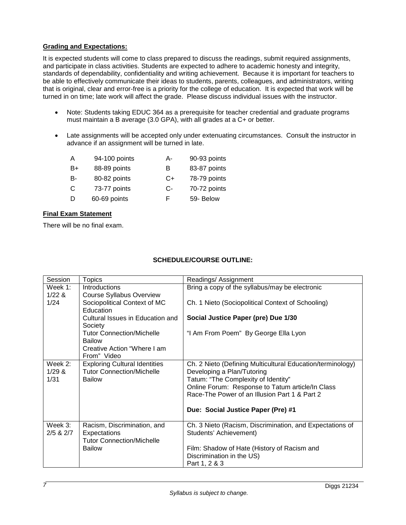## **Grading and Expectations:**

It is expected students will come to class prepared to discuss the readings, submit required assignments, and participate in class activities. Students are expected to adhere to academic honesty and integrity, standards of dependability, confidentiality and writing achievement. Because it is important for teachers to be able to effectively communicate their ideas to students, parents, colleagues, and administrators, writing that is original, clear and error-free is a priority for the college of education. It is expected that work will be turned in on time; late work will affect the grade. Please discuss individual issues with the instructor.

- Note: Students taking EDUC 364 as a prerequisite for teacher credential and graduate programs must maintain a B average (3.0 GPA), with all grades at a C+ or better.
- Late assignments will be accepted only under extenuating circumstances. Consult the instructor in advance if an assignment will be turned in late.

| Α  | 94-100 points | А-   | 90-93 points |
|----|---------------|------|--------------|
| B+ | 88-89 points  | В    | 83-87 points |
| B- | 80-82 points  | C+   | 78-79 points |
| C  | 73-77 points  | $C-$ | 70-72 points |
| D  | 60-69 points  | F.   | 59- Below    |

## **Final Exam Statement**

There will be no final exam.

| Ch. 2 Nieto (Defining Multicultural Education/terminology) |
|------------------------------------------------------------|
|                                                            |
|                                                            |
| Online Forum: Response to Tatum article/In Class           |
|                                                            |
|                                                            |
|                                                            |
| Ch. 3 Nieto (Racism, Discrimination, and Expectations of   |
|                                                            |
|                                                            |
|                                                            |
|                                                            |
|                                                            |
|                                                            |

# **SCHEDULE/COURSE OUTLINE:**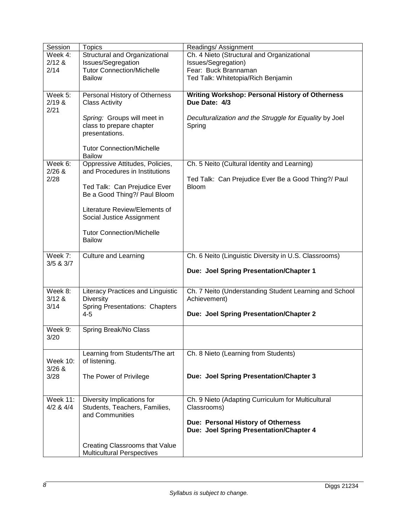| Session                     | <b>Topics</b>                                                             | Readings/Assignment                                                           |
|-----------------------------|---------------------------------------------------------------------------|-------------------------------------------------------------------------------|
| Week $4$ :                  | Structural and Organizational                                             | Ch. 4 Nieto (Structural and Organizational                                    |
| $2/12$ &                    | Issues/Segregation                                                        | Issues/Segregation)                                                           |
| 2/14                        | <b>Tutor Connection/Michelle</b>                                          | Fear: Buck Brannaman                                                          |
|                             | <b>Bailow</b>                                                             | Ted Talk: Whitetopia/Rich Benjamin                                            |
|                             |                                                                           |                                                                               |
| Week 5:<br>2/19 &           | Personal History of Otherness<br><b>Class Activity</b>                    | <b>Writing Workshop: Personal History of Otherness</b><br>Due Date: 4/3       |
| 2/21                        |                                                                           |                                                                               |
|                             | Spring: Groups will meet in<br>class to prepare chapter<br>presentations. | Deculturalization and the Struggle for Equality by Joel<br>Spring             |
|                             | <b>Tutor Connection/Michelle</b><br><b>Bailow</b>                         |                                                                               |
| Week 6:<br>$2/26$ &         | Oppressive Attitudes, Policies,                                           | Ch. 5 Neito (Cultural Identity and Learning)                                  |
| 2/28                        | and Procedures in Institutions                                            | Ted Talk: Can Prejudice Ever Be a Good Thing?/ Paul                           |
|                             | Ted Talk: Can Prejudice Ever<br>Be a Good Thing?/ Paul Bloom              | <b>Bloom</b>                                                                  |
|                             | Literature Review/Elements of<br>Social Justice Assignment                |                                                                               |
|                             | <b>Tutor Connection/Michelle</b><br><b>Bailow</b>                         |                                                                               |
| Week 7:                     | <b>Culture and Learning</b>                                               | Ch. 6 Neito (Linguistic Diversity in U.S. Classrooms)                         |
| $3/5$ & $3/7$               |                                                                           | Due: Joel Spring Presentation/Chapter 1                                       |
| Week 8:                     | Literacy Practices and Linguistic                                         | Ch. 7 Neito (Understanding Student Learning and School                        |
| 3/12 &<br>3/14              | <b>Diversity</b><br><b>Spring Presentations: Chapters</b>                 | Achievement)                                                                  |
|                             | $4 - 5$                                                                   | Due: Joel Spring Presentation/Chapter 2                                       |
| Week 9:<br>3/20             | Spring Break/No Class                                                     |                                                                               |
| <b>Week 10:</b><br>$3/26$ & | Learning from Students/The art<br>of listening.                           | Ch. 8 Nieto (Learning from Students)                                          |
| 3/28                        | The Power of Privilege                                                    | Due: Joel Spring Presentation/Chapter 3                                       |
| <b>Week 11:</b>             | Diversity Implications for                                                | Ch. 9 Nieto (Adapting Curriculum for Multicultural                            |
| $4/2$ & $4/4$               | Students, Teachers, Families,<br>and Communities                          | Classrooms)                                                                   |
|                             |                                                                           | Due: Personal History of Otherness<br>Due: Joel Spring Presentation/Chapter 4 |
|                             | Creating Classrooms that Value<br><b>Multicultural Perspectives</b>       |                                                                               |